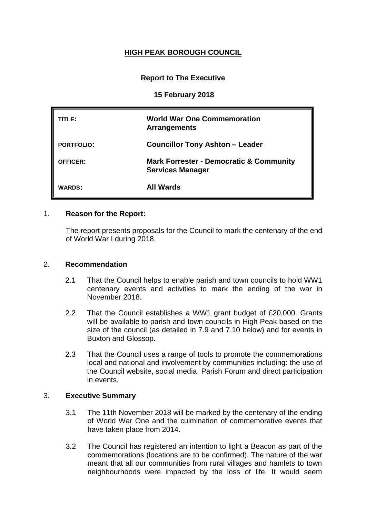## **HIGH PEAK BOROUGH COUNCIL**

## **Report to The Executive**

#### **15 February 2018**

| TITLE:            | <b>World War One Commemoration</b><br><b>Arrangements</b>                     |
|-------------------|-------------------------------------------------------------------------------|
| <b>PORTFOLIO:</b> | <b>Councillor Tony Ashton - Leader</b>                                        |
| <b>OFFICER:</b>   | <b>Mark Forrester - Democratic &amp; Community</b><br><b>Services Manager</b> |
| <b>WARDS:</b>     | <b>All Wards</b>                                                              |

#### 1. **Reason for the Report:**

The report presents proposals for the Council to mark the centenary of the end of World War I during 2018.

#### 2. **Recommendation**

- 2.1 That the Council helps to enable parish and town councils to hold WW1 centenary events and activities to mark the ending of the war in November 2018.
- 2.2 That the Council establishes a WW1 grant budget of £20,000. Grants will be available to parish and town councils in High Peak based on the size of the council (as detailed in 7.9 and 7.10 below) and for events in Buxton and Glossop.
- 2.3 That the Council uses a range of tools to promote the commemorations local and national and involvement by communities including: the use of the Council website, social media, Parish Forum and direct participation in events.

### 3. **Executive Summary**

- 3.1 The 11th November 2018 will be marked by the centenary of the ending of World War One and the culmination of commemorative events that have taken place from 2014.
- 3.2 The Council has registered an intention to light a Beacon as part of the commemorations (locations are to be confirmed). The nature of the war meant that all our communities from rural villages and hamlets to town neighbourhoods were impacted by the loss of life. It would seem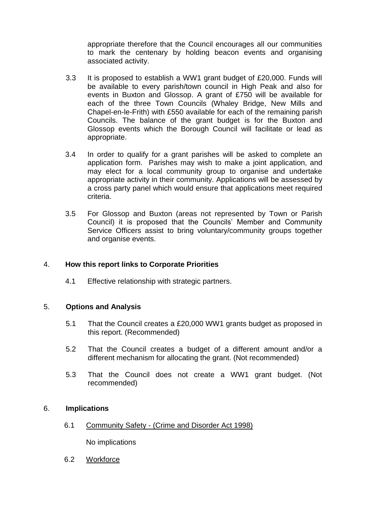appropriate therefore that the Council encourages all our communities to mark the centenary by holding beacon events and organising associated activity.

- 3.3 It is proposed to establish a WW1 grant budget of £20,000. Funds will be available to every parish/town council in High Peak and also for events in Buxton and Glossop. A grant of £750 will be available for each of the three Town Councils (Whaley Bridge, New Mills and Chapel-en-le-Frith) with £550 available for each of the remaining parish Councils. The balance of the grant budget is for the Buxton and Glossop events which the Borough Council will facilitate or lead as appropriate.
- 3.4 In order to qualify for a grant parishes will be asked to complete an application form. Parishes may wish to make a joint application, and may elect for a local community group to organise and undertake appropriate activity in their community. Applications will be assessed by a cross party panel which would ensure that applications meet required criteria.
- 3.5 For Glossop and Buxton (areas not represented by Town or Parish Council) it is proposed that the Councils' Member and Community Service Officers assist to bring voluntary/community groups together and organise events.

### 4. **How this report links to Corporate Priorities**

4.1 Effective relationship with strategic partners.

### 5. **Options and Analysis**

- 5.1 That the Council creates a £20,000 WW1 grants budget as proposed in this report. (Recommended)
- 5.2 That the Council creates a budget of a different amount and/or a different mechanism for allocating the grant. (Not recommended)
- 5.3 That the Council does not create a WW1 grant budget. (Not recommended)

### 6. **Implications**

6.1 Community Safety - (Crime and Disorder Act 1998)

No implications

6.2 Workforce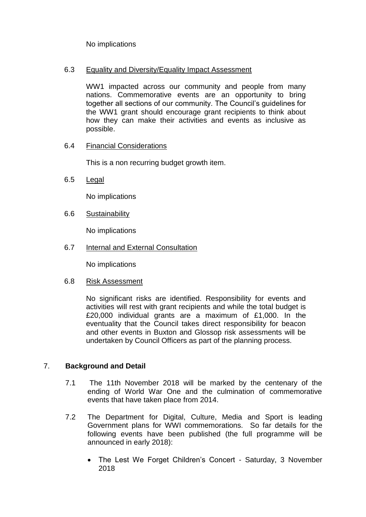No implications

### 6.3 Equality and Diversity/Equality Impact Assessment

WW1 impacted across our community and people from many nations. Commemorative events are an opportunity to bring together all sections of our community. The Council's guidelines for the WW1 grant should encourage grant recipients to think about how they can make their activities and events as inclusive as possible.

## 6.4 Financial Considerations

This is a non recurring budget growth item.

6.5 Legal

No implications

6.6 Sustainability

No implications

6.7 Internal and External Consultation

No implications

### 6.8 Risk Assessment

No significant risks are identified. Responsibility for events and activities will rest with grant recipients and while the total budget is £20,000 individual grants are a maximum of £1,000. In the eventuality that the Council takes direct responsibility for beacon and other events in Buxton and Glossop risk assessments will be undertaken by Council Officers as part of the planning process.

# 7. **Background and Detail**

- 7.1 The 11th November 2018 will be marked by the centenary of the ending of World War One and the culmination of commemorative events that have taken place from 2014.
- 7.2 The Department for Digital, Culture, Media and Sport is leading Government plans for WWI commemorations. So far details for the following events have been published (the full programme will be announced in early 2018):
	- The Lest We Forget Children's Concert Saturday, 3 November 2018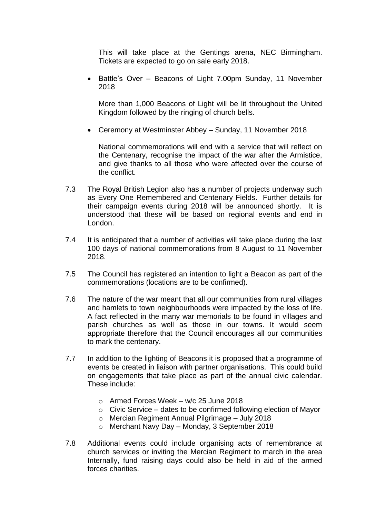This will take place at the Gentings arena, NEC Birmingham. Tickets are expected to go on sale early 2018.

• Battle's Over – Beacons of Light 7.00pm Sunday, 11 November 2018

More than 1,000 Beacons of Light will be lit throughout the United Kingdom followed by the ringing of church bells.

Ceremony at Westminster Abbey – Sunday, 11 November 2018

National commemorations will end with a service that will reflect on the Centenary, recognise the impact of the war after the Armistice, and give thanks to all those who were affected over the course of the conflict.

- 7.3 The Royal British Legion also has a number of projects underway such as Every One Remembered and Centenary Fields. Further details for their campaign events during 2018 will be announced shortly. It is understood that these will be based on regional events and end in London.
- 7.4 It is anticipated that a number of activities will take place during the last 100 days of national commemorations from 8 August to 11 November 2018.
- 7.5 The Council has registered an intention to light a Beacon as part of the commemorations (locations are to be confirmed).
- 7.6 The nature of the war meant that all our communities from rural villages and hamlets to town neighbourhoods were impacted by the loss of life. A fact reflected in the many war memorials to be found in villages and parish churches as well as those in our towns. It would seem appropriate therefore that the Council encourages all our communities to mark the centenary.
- 7.7 In addition to the lighting of Beacons it is proposed that a programme of events be created in liaison with partner organisations. This could build on engagements that take place as part of the annual civic calendar. These include:
	- o Armed Forces Week w/c 25 June 2018
	- $\circ$  Civic Service dates to be confirmed following election of Mayor
	- o Mercian Regiment Annual Pilgrimage July 2018
	- o Merchant Navy Day Monday, 3 September 2018
- 7.8 Additional events could include organising acts of remembrance at church services or inviting the Mercian Regiment to march in the area Internally, fund raising days could also be held in aid of the armed forces charities.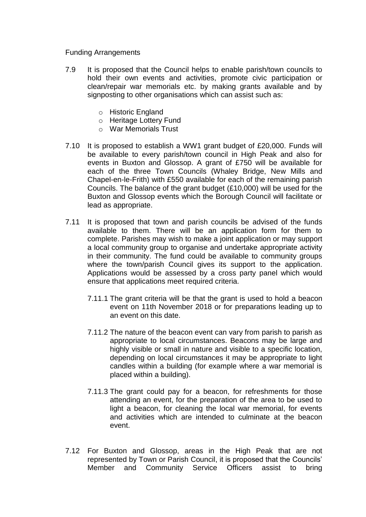Funding Arrangements

- 7.9 It is proposed that the Council helps to enable parish/town councils to hold their own events and activities, promote civic participation or clean/repair war memorials etc. by making grants available and by signposting to other organisations which can assist such as:
	- o Historic England
	- o Heritage Lottery Fund
	- o War Memorials Trust
- 7.10 It is proposed to establish a WW1 grant budget of £20,000. Funds will be available to every parish/town council in High Peak and also for events in Buxton and Glossop. A grant of £750 will be available for each of the three Town Councils (Whaley Bridge, New Mills and Chapel-en-le-Frith) with £550 available for each of the remaining parish Councils. The balance of the grant budget (£10,000) will be used for the Buxton and Glossop events which the Borough Council will facilitate or lead as appropriate.
- 7.11 It is proposed that town and parish councils be advised of the funds available to them. There will be an application form for them to complete. Parishes may wish to make a joint application or may support a local community group to organise and undertake appropriate activity in their community. The fund could be available to community groups where the town/parish Council gives its support to the application. Applications would be assessed by a cross party panel which would ensure that applications meet required criteria.
	- 7.11.1 The grant criteria will be that the grant is used to hold a beacon event on 11th November 2018 or for preparations leading up to an event on this date.
	- 7.11.2 The nature of the beacon event can vary from parish to parish as appropriate to local circumstances. Beacons may be large and highly visible or small in nature and visible to a specific location, depending on local circumstances it may be appropriate to light candles within a building (for example where a war memorial is placed within a building).
	- 7.11.3 The grant could pay for a beacon, for refreshments for those attending an event, for the preparation of the area to be used to light a beacon, for cleaning the local war memorial, for events and activities which are intended to culminate at the beacon event.
- 7.12 For Buxton and Glossop, areas in the High Peak that are not represented by Town or Parish Council, it is proposed that the Councils' Member and Community Service Officers assist to bring